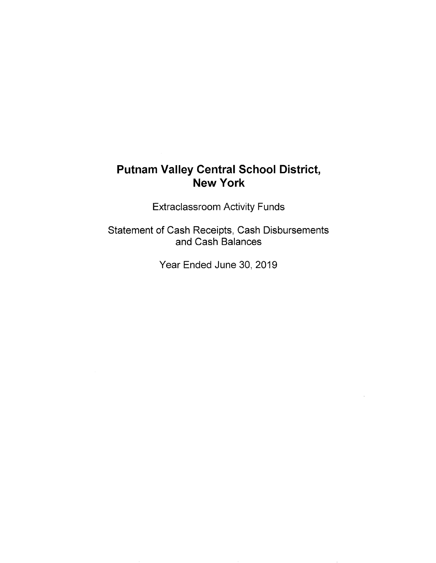# **Putnam Valley Central School District, New York**

Extraclassroom Activity Funds

Statement of Cash Receipts, Cash Disbursements and Cash Balances

Year Ended June 30, 2019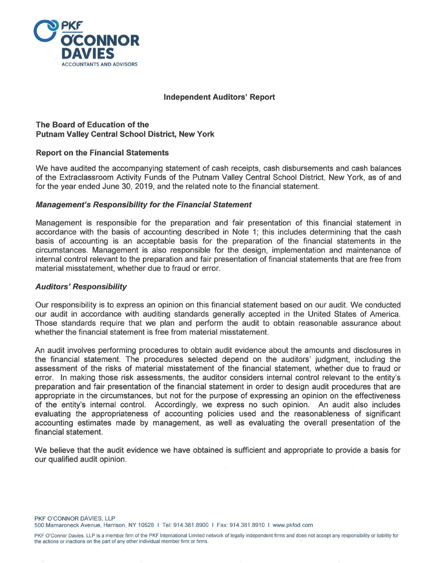

# **Independent Auditors' Report**

# **The Board of Education of the Putnam Valley Central School District, New York**

# **Report on the Financial Statements**

We have audited the accompanying statement of cash receipts, cash disbursements and cash balances of the Extraclassroom Activity Funds of the Putnam Valley Central School District, New York, as of and for the year ended June 30, 2019, and the related note to the financial statement.

# **Management's Responsibility for the Financial Statement**

Management is responsible for the preparation and fair presentation of this financial statement in accordance with the basis of accounting described in Note 1; this includes determining that the cash basis of accounting is an acceptable basis for the preparation of the financial statements in the circumstances. Management is also responsible for the design, implementation and maintenance of internal control relevant to the preparation and fair presentation of financial statements that are free from material misstatement, whether due to fraud or error.

#### **Auditors' Responsibility**

Our responsibility is to express an opinion on this financial statement based on our audit. We conducted our audit in accordance with auditing standards generally accepted in the United States of America. Those standards require that we plan and perform the audit to obtain reasonable assurance about whether the financial statement is free from material misstatement.

An audit involves performing procedures to obtain audit evidence about the amounts and disclosures in the financial statement. The procedures selected depend on the auditors' judgment, including the assessment of the risks of material misstatement of the financial statement, whether due to fraud or error. In making those risk assessments, the auditor considers internal control relevant to the entity's preparation and fair presentation of the financial statement in order to design audit procedures that are appropriate in the circumstances, but not for the purpose of expressing an opinion on the effectiveness of the entity's internal control. Accordingly, we express no such opinion. An audit also includes evaluating the appropriateness of accounting policies used and the reasonableness of significant accounting estimates made by management, as well as evaluating the overall presentation of the financial statement.

We believe that the audit evidence we have obtained is sufficient and appropriate to provide a basis for our qualified audit opinion.

PKF O'CONNOR DAVIES, LLP 500 Mamaroneck Avenue, Harrison, NY 10528 I Tel: 914.381.8900 I Fax: 914.381.8910 I www.pkfod.com

PKF O'Connor Davies, LLP is a member firm of the PKF International Limited network of legally independent firms and does not accept any responsibility or liability for the actions or inactions on the part of any other individual member firm or firms.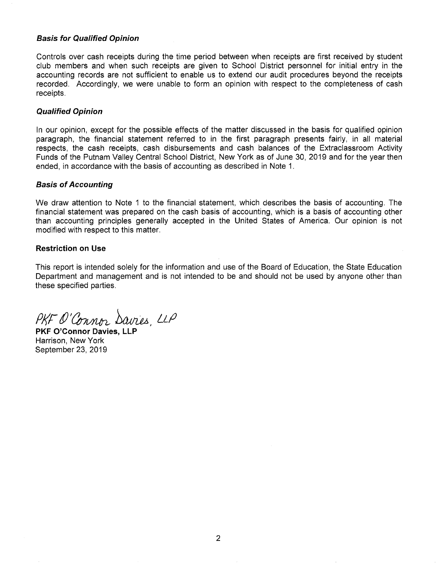#### **Basis for Qualified Opinion**

Controls over cash receipts during the time period between when receipts are first received by student club members and when such receipts are given to School District personnel for initial entry in the accounting records are not sufficient to enable us to extend our audit procedures beyond the receipts recorded. Accordingly, we were unable to form an opinion with respect to the completeness of cash receipts.

#### **Qualified Opinion**

In our opinion, except for the possible effects of the matter discussed in the basis for qualified opinion paragraph, the financial statement referred to in the first paragraph presents fairly, in all material respects, the cash receipts, cash disbursements and cash balances of the Extraclassroom Activity Funds of the Putnam Valley Central School District, New York as of June 30, 2019 and for the year then ended, in accordance with the basis of accounting as described in Note 1.

#### **Basis of Accounting**

We draw attention to Note 1 to the financial statement, which describes the basis of accounting. The financial statement was prepared on the cash basis of accounting, which is a basis of accounting other than accounting principles generally accepted in the United States of America. Our opinion is not modified with respect to this matter.

#### **Restriction on Use**

This report is intended solely for the information and use of the Board of Education, the State Education Department and management and is not intended to be and should not be used by anyone other than these specified parties.

PKF O'Connor Davies, LLP

**PKF O'Connor Davies, LLP**  Harrison, New York September 23, 2019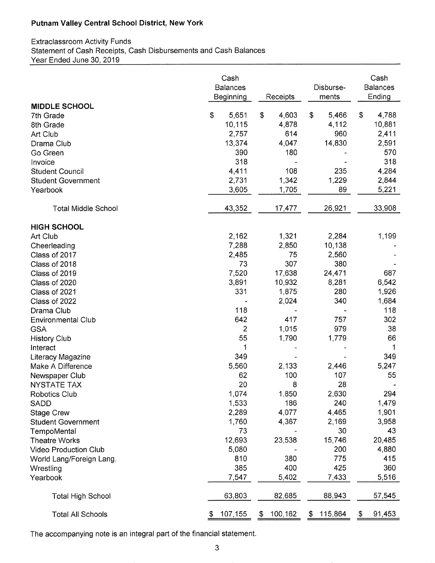# **Putnam Valley Central School District, New York**

# Extraclassroom Activity Funds Statement of Cash Receipts, Cash Disbursements and Cash Balances Year Ended June 30, 2019

|                              | Cash<br><b>Balances</b><br>Beginning | Receipts                | Disburse-<br>ments | Cash<br><b>Balances</b><br>Ending |
|------------------------------|--------------------------------------|-------------------------|--------------------|-----------------------------------|
| <b>MIDDLE SCHOOL</b>         |                                      |                         |                    |                                   |
| 7th Grade                    | \$<br>5,651                          | \$<br>4,603             | 5,466<br>\$        | \$<br>4,788                       |
| 8th Grade                    | 10,115                               | 4,878                   | 4,112              | 10,881                            |
| Art Club                     | 2,757                                | 614                     | 960                | 2,411                             |
| Drama Club                   | 13,374                               | 4,047                   | 14,830             | 2,591                             |
| Go Green                     | 390                                  | 180                     |                    | 570                               |
| Invoice                      | 318                                  |                         |                    | 318                               |
| <b>Student Council</b>       | 4,411                                | 108                     | 235                | 4,284                             |
| <b>Student Government</b>    | 2,731                                | 1,342                   | 1,229              | 2,844                             |
| Yearbook                     | 3,605                                | 1,705                   | 89                 | 5,221                             |
| <b>Total Middle School</b>   | 43,352                               | 17,477                  | 26,921             | 33,908                            |
|                              |                                      |                         |                    |                                   |
| <b>HIGH SCHOOL</b>           |                                      |                         |                    |                                   |
| Art Club                     | 2,162                                | 1,321                   | 2,284              | 1,199                             |
| Cheerleading                 | 7,288                                | 2,850                   | 10,138             |                                   |
| Class of 2017                | 2,485                                | 75                      | 2,560              |                                   |
| Class of 2018                | 73                                   | 307                     | 380                |                                   |
| Class of 2019                | 7,520                                | 17,638                  | 24,471             | 687                               |
| Class of 2020                | 3,891                                | 10,932                  | 8,281              | 6,542                             |
| Class of 2021                | 331                                  | 1,875                   | 280                | 1,926                             |
| Class of 2022                |                                      | 2,024                   | 340                | 1,684                             |
| Drama Club                   | 118                                  |                         |                    | 118                               |
| <b>Environmental Club</b>    | 642                                  | 417                     | 757                | 302                               |
| <b>GSA</b>                   |                                      | 1,015<br>$\overline{2}$ | 979                | 38                                |
| <b>History Club</b>          | 55                                   | 1,790                   | 1,779              | 66                                |
| Interact                     |                                      | 1                       |                    | 1                                 |
| Literacy Magazine            | 349                                  |                         |                    | 349                               |
| Make A Difference            | 5,560                                | 2,133                   | 2,446              | 5,247                             |
| Newspaper Club               | 62                                   | 100                     | 107                | 55                                |
| <b>NYSTATE TAX</b>           | 20                                   | 8                       | 28                 |                                   |
| <b>Robotics Club</b>         | 1,074                                | 1,850                   | 2,630              | 294                               |
| <b>SADD</b>                  | 1,533                                | 186                     | 240                | 1,479                             |
| <b>Stage Crew</b>            | 2,289                                | 4,077                   | 4,465              | 1,901                             |
| <b>Student Government</b>    | 1,760                                | 4,367                   | 2,169              | 3,958                             |
| TempoMental                  | 73                                   |                         | 30                 | 43                                |
| <b>Theatre Works</b>         | 12,693                               | 23,538                  | 15,746             | 20,485                            |
| <b>Video Production Club</b> | 5,080                                |                         | 200                | 4,880                             |
| World Lang/Foreign Lang.     | 810                                  | 380                     | 775                | 415                               |
| Wrestling                    | 385                                  | 400                     | 425                | 360                               |
| Yearbook                     | 7,547                                | 5,402                   | 7,433              | 5,516                             |
|                              |                                      |                         |                    |                                   |
| <b>Total High School</b>     | 63,803                               | 82,685                  | 88,943             | 57,545                            |
| <b>Total All Schools</b>     | 107,155<br>\$                        | 100,162<br>\$           | 115,864<br>\$      | 91,453<br>\$                      |

The accompanying note is an integral part of the financial statement.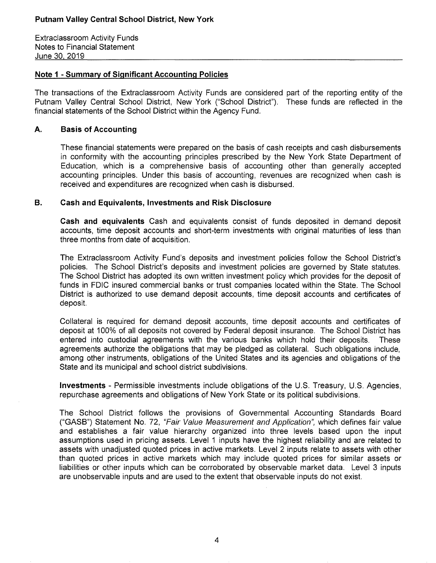Extraclassroom Activity Funds Notes to Financial Statement June 30 2019

# **Note 1 - Summary of Significant Accounting Policies**

The transactions of the Extraclassroom Activity Funds are considered part of the reporting entity of the Putnam Valley Central School District, New York ("School District"). These funds are reflected in the financial statements of the School District within the Agency Fund.

# **A. Basis of Accounting**

These financial statements were prepared on the basis of cash receipts and cash disbursements in conformity with the accounting principles prescribed by the New York State Department of Education, which is a comprehensive basis of accounting other than generally accepted accounting principles. Under this basis of accounting, revenues are recognized when cash is received and expenditures are recognized when cash is disbursed.

# **B. Cash and Equivalents, Investments and Risk Disclosure**

**Cash and equivalents** Cash and equivalents consist of funds deposited in demand deposit accounts, time deposit accounts and short-term investments with original maturities of less than three months from date of acquisition.

The Extraclassroom Activity Fund's deposits and investment policies follow the School District's policies. The School District's deposits and investment policies are governed by State statutes. The School District has adopted its own written investment policy which provides for the deposit of funds in FDIC insured commercial banks or trust companies located within the State. The School District is authorized to use demand deposit accounts, time deposit accounts and certificates of deposit.

Collateral is required for demand deposit accounts, time deposit accounts and certificates of deposit at 100% of all deposits not covered by Federal deposit insurance. The School District has entered into custodial agreements with the various banks which hold their deposits. These agreements authorize the obligations that may be pledged as collateral. Such obligations include, among other instruments, obligations of the United States and its agencies and obligations of the State and its municipal and school district subdivisions.

**Investments** - Permissible investments include obligations of the U.S. Treasury, U.S. Agencies, repurchase agreements and obligations of New York State or its political subdivisions.

The School District follows the provisions of Governmental Accounting Standards Board ("GASB") Statement No. 72, "Fair Value Measurement and Application", which defines fair value and establishes a fair value hierarchy organized into three levels based upon the input assumptions used in pricing assets. Level 1 inputs have the highest reliability and are related to assets with unadjusted quoted prices in active markets. Level 2 inputs relate to assets with other than quoted prices in active markets which may include quoted prices for similar assets or liabilities or other inputs which can be corroborated by observable market data. Level 3 inputs are unobservable inputs and are used to the extent that observable inputs do not exist.